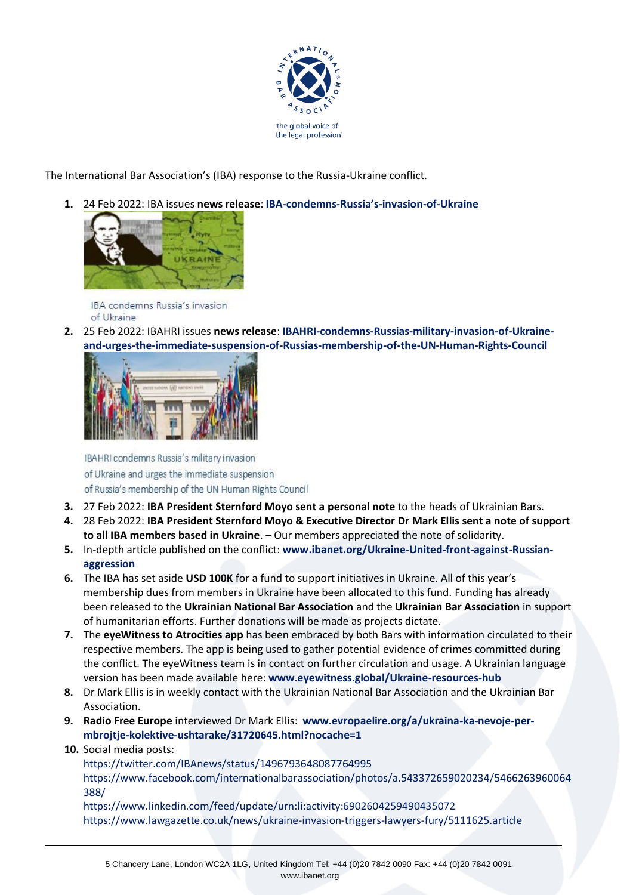

The International Bar Association's (IBA) response to the Russia-Ukraine conflict.

**1.** 24 Feb 2022: IBA issues **news release**: **[IBA-condemns-Russia](https://www.ibanet.org/IBA-condemns-Russias-invasion-of-Ukraine)'s-invasion-of-Ukraine**



IBA condemns Russia's invasion of Ukraine

**2.** 25 Feb 2022: IBAHRI issues **news release**: **[IBAHRI-condemns-Russias-military-invasion-of-Ukraine](https://www.ibanet.org/IBAHRI-condemns-Russias-military-invasion-of-Ukraine-and-urges-the-immediate-suspension-of-Russias-membership-of-the-UN-Human-Rights-Council)[and-urges-the-immediate-suspension-of-Russias-membership-of-the-UN-Human-Rights-Council](https://www.ibanet.org/IBAHRI-condemns-Russias-military-invasion-of-Ukraine-and-urges-the-immediate-suspension-of-Russias-membership-of-the-UN-Human-Rights-Council)**



IBAHRI condemns Russia's military invasion of Ukraine and urges the immediate suspension of Russia's membership of the UN Human Rights Council

- **3.** 27 Feb 2022: **IBA President Sternford Moyo sent a personal note** to the heads of Ukrainian Bars.
- **4.** 28 Feb 2022: **IBA President Sternford Moyo & Executive Director Dr Mark Ellis sent a note of support to all IBA members based in Ukraine**. – Our members appreciated the note of solidarity.
- **5.** In-depth article published on the conflict: **[www.ibanet.org/Ukraine-United-front-against-Russian](https://www.ibanet.org/Ukraine-United-front-against-Russian-aggression)[aggression](https://www.ibanet.org/Ukraine-United-front-against-Russian-aggression)**
- **6.** The IBA has set aside **USD 100K** for a fund to support initiatives in Ukraine. All of this year's membership dues from members in Ukraine have been allocated to this fund. Funding has already been released to the **Ukrainian National Bar Association** and the **Ukrainian Bar Association** in support of humanitarian efforts. Further donations will be made as projects dictate.
- **7.** The **eyeWitness to Atrocities app** has been embraced by both Bars with information circulated to their respective members. The app is being used to gather potential evidence of crimes committed during the conflict. The eyeWitness team is in contact on further circulation and usage. A Ukrainian language version has been made available here: **[www.eyewitness.global/Ukraine-resources-hub](https://www.eyewitness.global/Ukraine-resources-hub)**
- **8.** Dr Mark Ellis is in weekly contact with the Ukrainian National Bar Association and the Ukrainian Bar Association.
- **9. Radio Free Europe** interviewed Dr Mark Ellis: **[www.evropaelire.org/a/ukraina-ka-nevoje-per](https://www.evropaelire.org/a/ukraina-ka-nevoje-per-mbrojtje-kolektive-ushtarake/31720645.html?nocache=1)[mbrojtje-kolektive-ushtarake/31720645.html?nocache=1](https://www.evropaelire.org/a/ukraina-ka-nevoje-per-mbrojtje-kolektive-ushtarake/31720645.html?nocache=1)**
- **10.** Social media posts:

[https://twitter.com/IBAnews/status/1496793648087764995](https://protect-eu.mimecast.com/s/BE3FC7LqyF685YUBQ58a?domain=twitter.com) [https://www.facebook.com/internationalbarassociation/photos/a.543372659020234/5466263960064](https://protect-eu.mimecast.com/s/RDyaC86rzTM2VgcMt594?domain=facebook.com/) [388/](https://protect-eu.mimecast.com/s/RDyaC86rzTM2VgcMt594?domain=facebook.com/)

[https://www.linkedin.com/feed/update/urn:li:activity:6902604259490435072](https://protect-eu.mimecast.com/s/0k2lC9QvASKlyjTPcwY9?domain=linkedin.com) [https://www.lawgazette.co.uk/news/ukraine-invasion-triggers-lawyers-fury/5111625.article](https://protect-eu.mimecast.com/s/p6O4C0VjohW7OzI3diKd?domain=lawgazette.co.uk)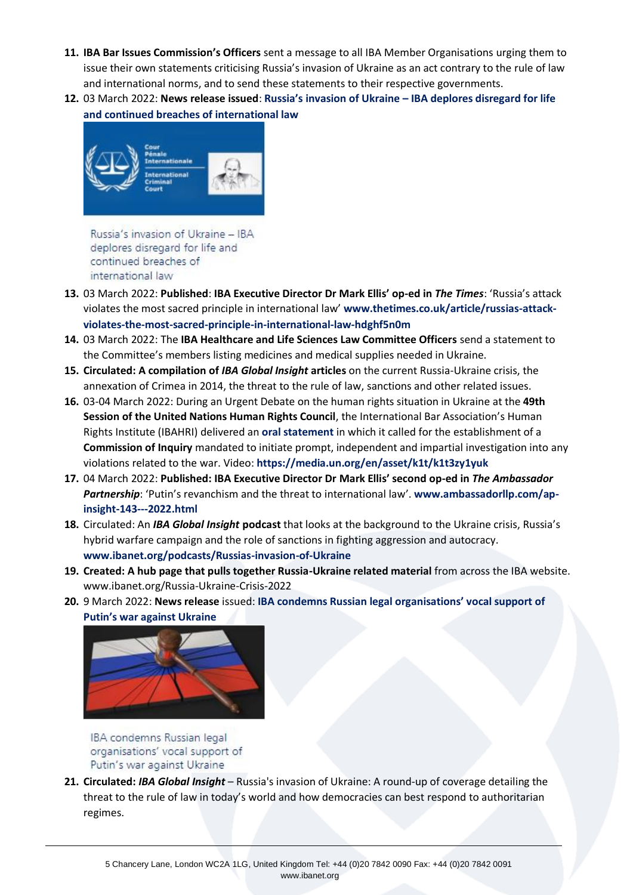- **11. IBA Bar Issues Commission's Officers** sent a message to all IBA Member Organisations urging them to issue their own statements criticising Russia's invasion of Ukraine as an act contrary to the rule of law and international norms, and to send these statements to their respective governments.
- **12.** 03 March 2022: **News release issued**: **Russia's invasion of Ukraine – [IBA deplores disregard for life](https://www.ibanet.org/Russias-invasion-of-Ukraine-IBA-deplores-disregard-for-life-and-continued-breaches-of-international-law)  [and continued breaches of international law](https://www.ibanet.org/Russias-invasion-of-Ukraine-IBA-deplores-disregard-for-life-and-continued-breaches-of-international-law)**



Russia's invasion of Ukraine - IBA deplores disregard for life and continued breaches of international law

- **13.** 03 March 2022: **Published**: **IBA Executive Director Dr Mark Ellis' op-ed in** *The Times*: 'Russia's attack violates the most sacred principle in international law' **[www.thetimes.co.uk/article/russias-attack](http://www.thetimes.co.uk/article/russias-attack-violates-the-most-sacred-principle-in-international-law-hdghf5n0m)[violates-the-most-sacred-principle-in-international-law-hdghf5n0m](http://www.thetimes.co.uk/article/russias-attack-violates-the-most-sacred-principle-in-international-law-hdghf5n0m)**
- **14.** 03 March 2022: The **IBA Healthcare and Life Sciences Law Committee Officers** send a statement to the Committee's members listing medicines and medical supplies needed in Ukraine.
- **15. Circulated: A compilation of** *IBA Global Insight* **articles** on the current Russia-Ukraine crisis, the annexation of Crimea in 2014, the threat to the rule of law, sanctions and other related issues.
- **16.** 03-04 March 2022: During an Urgent Debate on the human rights situation in Ukraine at the **49th Session of the United Nations Human Rights Council**, the International Bar Association's Human Rights Institute (IBAHRI) delivered an **[oral statement](https://www.ibanet.org/document?id=Urgent-Debate-on-the-Human-Rights-Situation-in-Ukraine-stemming-from-the-Russian-Aggression-oral-statement)** in which it called for the establishment of a **Commission of Inquiry** mandated to initiate prompt, independent and impartial investigation into any violations related to the war. Video: **<https://media.un.org/en/asset/k1t/k1t3zy1yuk>**
- **17.** 04 March 2022: **Published: IBA Executive Director Dr Mark Ellis' second op-ed in** *The Ambassador*  Partnership: 'Putin's revanchism and the threat to international law'. [www.ambassadorllp.com/ap](https://www.ambassadorllp.com/ap-insight-143---2022.html)**[insight-143---2022.html](https://www.ambassadorllp.com/ap-insight-143---2022.html)**
- **18.** Circulated: An *IBA Global Insight* **podcast** that looks at the background to the Ukraine crisis, Russia's hybrid warfare campaign and the role of sanctions in fighting aggression and autocracy. **[www.ibanet.org/podcasts/Russias-invasion-of-Ukraine](http://www.ibanet.org/podcasts/Russias-invasion-of-Ukraine)**
- **19. Created: A hub page that pulls together Russia-Ukraine related material** from across the IBA website. [www.ibanet.org/Russia-Ukraine-Crisis-2022](https://www.ibanet.org/Russia-Ukraine-Crisis-2022)
- **20.** 9 March 2022: **News release** issued: **[IBA condemns Russian legal organisations' vocal support of](https://www.ibanet.org/IBA-condemns-Russian-legal-organisations-vocal-support-of-Putins-war-against-Ukraine)  [Putin's war against Ukraine](https://www.ibanet.org/IBA-condemns-Russian-legal-organisations-vocal-support-of-Putins-war-against-Ukraine)**



IBA condemns Russian legal organisations' vocal support of Putin's war against Ukraine

**21. Circulated:** *IBA Global Insight* – Russia's invasion of Ukraine: A round-up of coverage detailing the threat to the rule of law in today's world and how democracies can best respond to authoritarian regimes.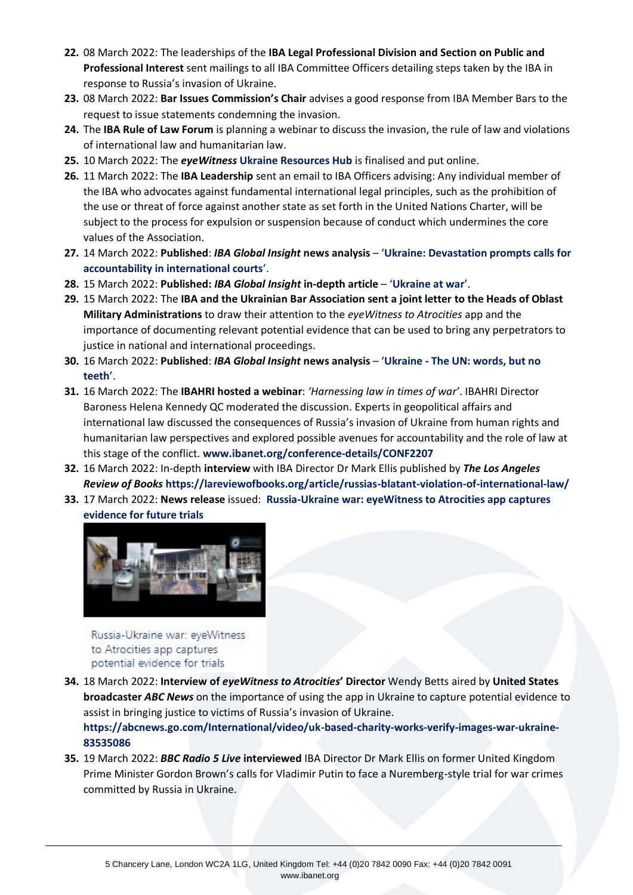- **22.** 08 March 2022: The leaderships of the **IBA Legal Professional Division and Section on Public and Professional Interest** sent mailings to all IBA Committee Officers detailing steps taken by the IBA in response to Russia's invasion of Ukraine.
- **23.** 08 March 2022: **Bar Issues Commission's Chair** advises a good response from IBA Member Bars to the request to issue statements condemning the invasion.
- **24.** The **IBA Rule of Law Forum** is planning a webinar to discuss the invasion, the rule of law and violations of international law and humanitarian law.
- **25.** 10 March 2022: The *eyeWitness* **[Ukraine Resources Hub](https://www.eyewitness.global/Ukraine-resources-hub)** is finalised and put online.
- **26.** 11 March 2022: The **IBA Leadership** sent an email to IBA Officers advising: Any individual member of the IBA who advocates against fundamental international legal principles, such as the prohibition of the use or threat of force against another state as set forth in the United Nations Charter, will be subject to the process for expulsion or suspension because of conduct which undermines the core values of the Association.
- **27.** 14 March 2022: **Published**: *IBA Global Insight* **news analysis** '**[Ukraine: Devastation prompts calls for](https://www.ibanet.org/Ukraine-devastation-prompts-calls-for-accountability-in-international-courts)  [accountability in international courts](https://www.ibanet.org/Ukraine-devastation-prompts-calls-for-accountability-in-international-courts)**'.
- **28.** 15 March 2022: **Published:** *IBA Global Insight* **in-depth article** '**[Ukraine at war](https://www.ibanet.org/Ukraine-at-war)**'.
- **29.** 15 March 2022: The **IBA and the Ukrainian Bar Association sent a joint letter to the Heads of Oblast Military Administrations** to draw their attention to the *eyeWitness to Atrocities* app and the importance of documenting relevant potential evidence that can be used to bring any perpetrators to justice in national and international proceedings.
- **30.** 16 March 2022: **Published**: *IBA Global Insight* **news analysis** '**Ukraine - [The UN: words, but no](https://www.ibanet.org/The-UN-words-but-no-teeth)  [teeth](https://www.ibanet.org/The-UN-words-but-no-teeth)**'.
- **31.** 16 March 2022: The **IBAHRI hosted a webinar**: *'Harnessing law in times of war'*. IBAHRI Director Baroness Helena Kennedy QC moderated the discussion. Experts in geopolitical affairs and international law discussed the consequences of Russia's invasion of Ukraine from human rights and humanitarian law perspectives and explored possible avenues for accountability and the role of law at this stage of the conflict. **[www.ibanet.org/conference-details/CONF2207](https://www.ibanet.org/conference-details/CONF2207)**
- **32.** 16 March 2022: In-depth **interview** with IBA Director Dr Mark Ellis published by *The Los Angeles Review of Books* **<https://lareviewofbooks.org/article/russias-blatant-violation-of-international-law/>**
- **33.** 17 March 2022: **News release** issued: **[Russia-Ukraine war: eyeWitness to Atrocities app captures](https://www.ibanet.org/Russia-Ukraine-war-eyeWitness-to-Atrocities-app-captures-potential-evidence-for-trials)  [evidence for future trials](https://www.ibanet.org/Russia-Ukraine-war-eyeWitness-to-Atrocities-app-captures-potential-evidence-for-trials)**



Russia-Ukraine war: eveWitness to Atrocities app captures potential evidence for trials

- **34.** 18 March 2022: **Interview of** *eyeWitness to Atrocities***' Director** Wendy Betts aired by **United States broadcaster** *ABC News* on the importance of using the app in Ukraine to capture potential evidence to assist in bringing justice to victims of Russia's invasion of Ukraine. **[https://abcnews.go.com/International/video/uk-based-charity-works-verify-images-war-ukraine-](https://abcnews.go.com/International/video/uk-based-charity-works-verify-images-war-ukraine-83535086)[83535086](https://abcnews.go.com/International/video/uk-based-charity-works-verify-images-war-ukraine-83535086)**
- **35.** 19 March 2022: *BBC Radio 5 Live* **interviewed** IBA Director Dr Mark Ellis on former United Kingdom Prime Minister Gordon Brown's calls for Vladimir Putin to face a Nuremberg-style trial for war crimes committed by Russia in Ukraine.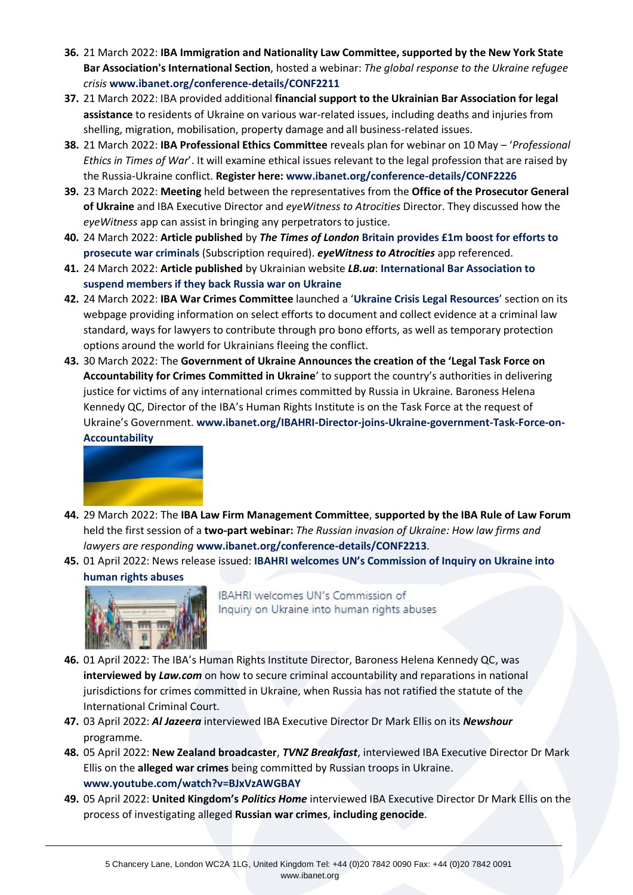- **36.** 21 March 2022: **IBA Immigration and Nationality Law Committee, supported by the New York State Bar Association's International Section**, hosted a webinar: *The global response to the Ukraine refugee crisis* **[www.ibanet.org/conference-details/CONF2211](https://www.ibanet.org/conference-details/CONF2211)**
- **37.** 21 March 2022: IBA provided additional **financial support to the Ukrainian Bar Association for legal assistance** to residents of Ukraine on various war-related issues, including deaths and injuries from shelling, migration, mobilisation, property damage and all business-related issues.
- **38.** 21 March 2022: **IBA Professional Ethics Committee** reveals plan for webinar on 10 May '*Professional Ethics in Times of War*'. It will examine ethical issues relevant to the legal profession that are raised by the Russia-Ukraine conflict. **Register here: [www.ibanet.org/conference-details/CONF2226](https://www.ibanet.org/conference-details/CONF2226)**
- **39.** 23 March 2022: **Meeting** held between the representatives from the **Office of the Prosecutor General of Ukraine** and IBA Executive Director and *eyeWitness to Atrocities* Director. They discussed how the *eyeWitness* app can assist in bringing any perpetrators to justice.
- **40.** 24 March 2022: **Article published** by *The Times of London* **[Britain provides £1m boost for efforts to](https://www.thetimes.co.uk/article/britain-provides-1m-boost-for-efforts-to-prosecute-war-criminals-8dbkvd6rs)  [prosecute war criminals](https://www.thetimes.co.uk/article/britain-provides-1m-boost-for-efforts-to-prosecute-war-criminals-8dbkvd6rs)** (Subscription required). *eyeWitness to Atrocities* app referenced.
- **41.** 24 March 2022: **Article published** by Ukrainian website *LB.ua*: **[International Bar Association to](https://en.lb.ua/news/2022/03/24/11791_international_bar_association.html)  [suspend members if they back Russia war on Ukraine](https://en.lb.ua/news/2022/03/24/11791_international_bar_association.html)**
- **42.** 24 March 2022: **IBA War Crimes Committee** launched a '**[Ukraine Crisis Legal Resources](https://protect-eu.mimecast.com/s/wSi6CnrWmc1w7zhJtMtj?domain=ibanet.org)**' section on its webpage providing information on select efforts to document and collect evidence at a criminal law standard, ways for lawyers to contribute through pro bono efforts, as well as temporary protection options around the world for Ukrainians fleeing the conflict.
- **43.** 30 March 2022: The **Government of Ukraine Announces the creation of the 'Legal Task Force on Accountability for Crimes Committed in Ukraine**' to support the country's authorities in delivering justice for victims of any international crimes committed by Russia in Ukraine. Baroness Helena Kennedy QC, Director of the IBA's Human Rights Institute is on the Task Force at the request of Ukraine's Government. **[www.ibanet.org/IBAHRI-Director-joins-Ukraine-government-Task-Force-on-](https://www.ibanet.org/IBAHRI-Director-joins-Ukraine-government-Task-Force-on-Accountability)[Accountability](https://www.ibanet.org/IBAHRI-Director-joins-Ukraine-government-Task-Force-on-Accountability)**



- **44.** 29 March 2022: The **IBA Law Firm Management Committee**, **supported by the IBA Rule of Law Forum** held the first session of a **two-part webinar:** *The Russian invasion of Ukraine: How law firms and lawyers are responding* **[www.ibanet.org/conference-details/CONF2213](https://www.ibanet.org/conference-details/CONF2213)**.
- **45.** 01 April 2022: News release issued: **[IBAHRI welcomes UN's Commission of Inquiry on Ukraine into](https://www.ibanet.org/IBAHRI-welcomes-UN-Commission-of-Inquiry-on-Ukraine-into-human-rights-abuses)  [human rights abuses](https://www.ibanet.org/IBAHRI-welcomes-UN-Commission-of-Inquiry-on-Ukraine-into-human-rights-abuses)**



IBAHRI welcomes UN's Commission of Inquiry on Ukraine into human rights abuses

- **46.** 01 April 2022: The IBA's Human Rights Institute Director, Baroness Helena Kennedy QC, was **interviewed by** *Law.com* on how to secure criminal accountability and reparations in national jurisdictions for crimes committed in Ukraine, when Russia has not ratified the statute of the International Criminal Court.
- **47.** 03 April 2022: *Al Jazeera* interviewed IBA Executive Director Dr Mark Ellis on its *Newshour* programme.
- **48.** 05 April 2022: **New Zealand broadcaster**, *TVNZ Breakfast*, interviewed IBA Executive Director Dr Mark Ellis on the **alleged war crimes** being committed by Russian troops in Ukraine. **[www.youtube.com/watch?v=BJxVzAWGBAY](https://www.youtube.com/watch?v=BJxVzAWGBAY)**
- **49.** 05 April 2022: **United Kingdom's** *Politics Home* interviewed IBA Executive Director Dr Mark Ellis on the process of investigating alleged **Russian war crimes**, **including genocide**.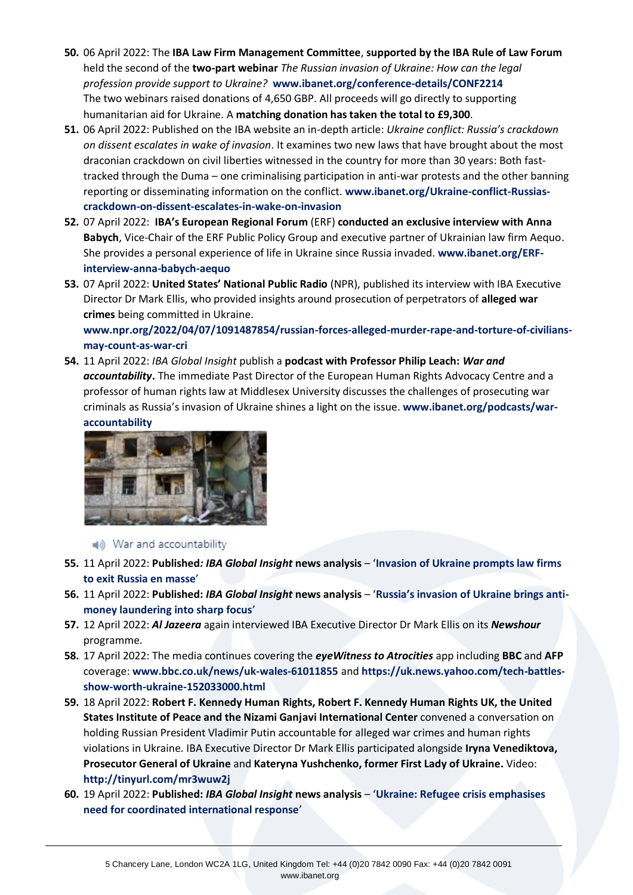- **50.** 06 April 2022: The **IBA Law Firm Management Committee**, **supported by the IBA Rule of Law Forum** held the second of the **two-part webinar** *The Russian invasion of Ukraine: How can the legal profession provide support to Ukraine?* **[www.ibanet.org/conference-details/CONF2214](http://www.ibanet.org/conference-details/CONF2214)** The two webinars raised donations of 4,650 GBP. All proceeds will go directly to supporting humanitarian aid for Ukraine. A **matching donation has taken the total to £9,300**.
- **51.** 06 April 2022: Published on the IBA website an in-depth article: *Ukraine conflict: Russia's crackdown on dissent escalates in wake of invasion*. It examines two new laws that have brought about the most draconian crackdown on civil liberties witnessed in the country for more than 30 years: Both fasttracked through the Duma – one criminalising participation in anti-war protests and the other banning reporting or disseminating information on the conflict. **[www.ibanet.org/Ukraine-conflict-Russias](https://www.ibanet.org/Ukraine-conflict-Russias-crackdown-on-dissent-escalates-in-wake-on-invasion)[crackdown-on-dissent-escalates-in-wake-on-invasion](https://www.ibanet.org/Ukraine-conflict-Russias-crackdown-on-dissent-escalates-in-wake-on-invasion)**
- **52.** 07 April 2022: **IBA's European Regional Forum** (ERF) **conducted an exclusive interview with Anna Babych**, Vice-Chair of the ERF Public Policy Group and executive partner of Ukrainian law firm Aequo. She provides a personal experience of life in Ukraine since Russia invaded. **[www.ibanet.org/ERF](https://www.ibanet.org/ERF-interview-anna-babych-aequo)[interview-anna-babych-aequo](https://www.ibanet.org/ERF-interview-anna-babych-aequo)**
- **53.** 07 April 2022: **United States' National Public Radio** (NPR), published its interview with IBA Executive Director Dr Mark Ellis, who provided insights around prosecution of perpetrators of **alleged war crimes** being committed in Ukraine.

**[www.npr.org/2022/04/07/1091487854/russian-forces-alleged-murder-rape-and-torture-of-civilians](https://www.npr.org/2022/04/07/1091487854/russian-forces-alleged-murder-rape-and-torture-of-civilians-may-count-as-war-cri)[may-count-as-war-cri](https://www.npr.org/2022/04/07/1091487854/russian-forces-alleged-murder-rape-and-torture-of-civilians-may-count-as-war-cri)**

**54.** 11 April 2022: *IBA Global Insight* publish a **podcast with Professor Philip Leach:** *War and accountability***.** The immediate Past Director of the European Human Rights Advocacy Centre and a professor of human rights law at Middlesex University discusses the challenges of prosecuting war criminals as Russia's invasion of Ukraine shines a light on the issue. **[www.ibanet.org/podcasts/war](https://www.ibanet.org/podcasts/war-accountability)[accountability](https://www.ibanet.org/podcasts/war-accountability)**



## (a) War and accountability

- **55.** 11 April 2022: **Published***: IBA Global Insight* **news analysis** '**[Invasion of Ukraine prompts law firms](https://www.ibanet.org/Invasion-of-Ukraine-prompts-law-firms-to-exit-Russia-en-masse)  [to exit Russia en masse](https://www.ibanet.org/Invasion-of-Ukraine-prompts-law-firms-to-exit-Russia-en-masse)**'
- **56.** 11 April 2022: **Published:** *IBA Global Insight* **news analysis** '**[Russia's invasion of Ukraine brings anti](https://www.ibanet.org/Russias-invasion-of-Ukraine-brings-anti-money-laundering-into-sharp-focus)[money laundering into sharp focus](https://www.ibanet.org/Russias-invasion-of-Ukraine-brings-anti-money-laundering-into-sharp-focus)**'
- **57.** 12 April 2022: *Al Jazeera* again interviewed IBA Executive Director Dr Mark Ellis on its *Newshour* programme.
- **58.** 17 April 2022: The media continues covering the *eyeWitness to Atrocities* app including **BBC** and **AFP** coverage: **[www.bbc.co.uk/news/uk-wales-61011855](https://www.bbc.co.uk/news/uk-wales-61011855)** and **[https://uk.news.yahoo.com/tech-battles](https://uk.news.yahoo.com/tech-battles-show-worth-ukraine-152033000.html)[show-worth-ukraine-152033000.html](https://uk.news.yahoo.com/tech-battles-show-worth-ukraine-152033000.html)**
- **59.** 18 April 2022: **Robert F. Kennedy Human Rights, Robert F. Kennedy Human Rights UK, the United States Institute of Peace and the Nizami Ganjavi International Center** convened a conversation on holding Russian President Vladimir Putin accountable for alleged war crimes and human rights violations in Ukraine. IBA Executive Director Dr Mark Ellis participated alongside **Iryna Venediktova, Prosecutor General of Ukraine** and **Kateryna Yushchenko, former First Lady of Ukraine.** Video: **<http://tinyurl.com/mr3wuw2j>**
- **60.** 19 April 2022: **Published:** *IBA Global Insight* **news analysis** '**[Ukraine: Refugee crisis emphasises](https://www.ibanet.org/Ukraine-Refugee-crisis-emphasises-need-for-coordinated-international-response)  [need for coordinated international response](https://www.ibanet.org/Ukraine-Refugee-crisis-emphasises-need-for-coordinated-international-response)**'